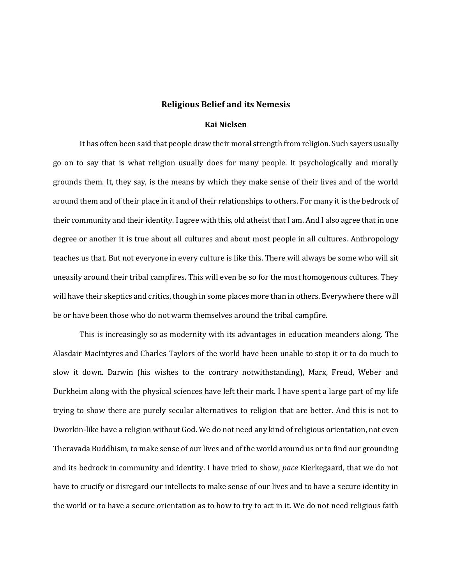## **Religious Belief and its Nemesis**

## **Kai Nielsen**

It has often been said that people draw their moral strength from religion. Such sayers usually go on to say that is what religion usually does for many people. It psychologically and morally grounds them. It, they say, is the means by which they make sense of their lives and of the world around them and of their place in it and of their relationships to others. For many it is the bedrock of their community and their identity. I agree with this, old atheist that I am. And I also agree that in one degree or another it is true about all cultures and about most people in all cultures. Anthropology teaches us that. But not everyone in every culture is like this. There will always be some who will sit uneasily around their tribal campfires. This will even be so for the most homogenous cultures. They will have their skeptics and critics, though in some places more than in others. Everywhere there will be or have been those who do not warm themselves around the tribal campfire.

This is increasingly so as modernity with its advantages in education meanders along. The Alasdair MacIntyres and Charles Taylors of the world have been unable to stop it or to do much to slow it down. Darwin (his wishes to the contrary notwithstanding), Marx, Freud, Weber and Durkheim along with the physical sciences have left their mark. I have spent a large part of my life trying to show there are purely secular alternatives to religion that are better. And this is not to Dworkin-like have a religion without God. We do not need any kind of religious orientation, not even Theravada Buddhism, to make sense of our lives and of the world around us or to find our grounding and its bedrock in community and identity. I have tried to show, *pace* Kierkegaard, that we do not have to crucify or disregard our intellects to make sense of our lives and to have a secure identity in the world or to have a secure orientation as to how to try to act in it. We do not need religious faith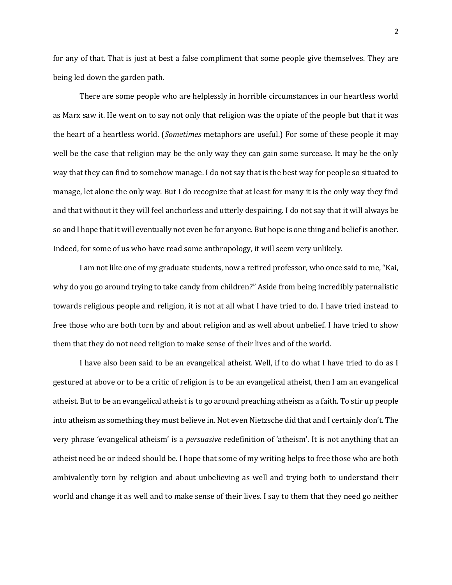for any of that. That is just at best a false compliment that some people give themselves. They are being led down the garden path.

There are some people who are helplessly in horrible circumstances in our heartless world as Marx saw it. He went on to say not only that religion was the opiate of the people but that it was the heart of a heartless world. (*Sometimes* metaphors are useful.) For some of these people it may well be the case that religion may be the only way they can gain some surcease. It may be the only way that they can find to somehow manage. I do not say that is the best way for people so situated to manage, let alone the only way. But I do recognize that at least for many it is the only way they find and that without it they will feel anchorless and utterly despairing. I do not say that it will always be so and I hope that it will eventually not even be for anyone. But hope is one thing and belief is another. Indeed, for some of us who have read some anthropology, it will seem very unlikely.

I am not like one of my graduate students, now a retired professor, who once said to me, "Kai, why do you go around trying to take candy from children?" Aside from being incredibly paternalistic towards religious people and religion, it is not at all what I have tried to do. I have tried instead to free those who are both torn by and about religion and as well about unbelief. I have tried to show them that they do not need religion to make sense of their lives and of the world.

I have also been said to be an evangelical atheist. Well, if to do what I have tried to do as I gestured at above or to be a critic of religion is to be an evangelical atheist, then I am an evangelical atheist. But to be an evangelical atheist is to go around preaching atheism as a faith. To stir up people into atheism as something they must believe in. Not even Nietzsche did that and I certainly don't. The very phrase 'evangelical atheism' is a *persuasive* redefinition of 'atheism'. It is not anything that an atheist need be or indeed should be. I hope that some of my writing helps to free those who are both ambivalently torn by religion and about unbelieving as well and trying both to understand their world and change it as well and to make sense of their lives. I say to them that they need go neither